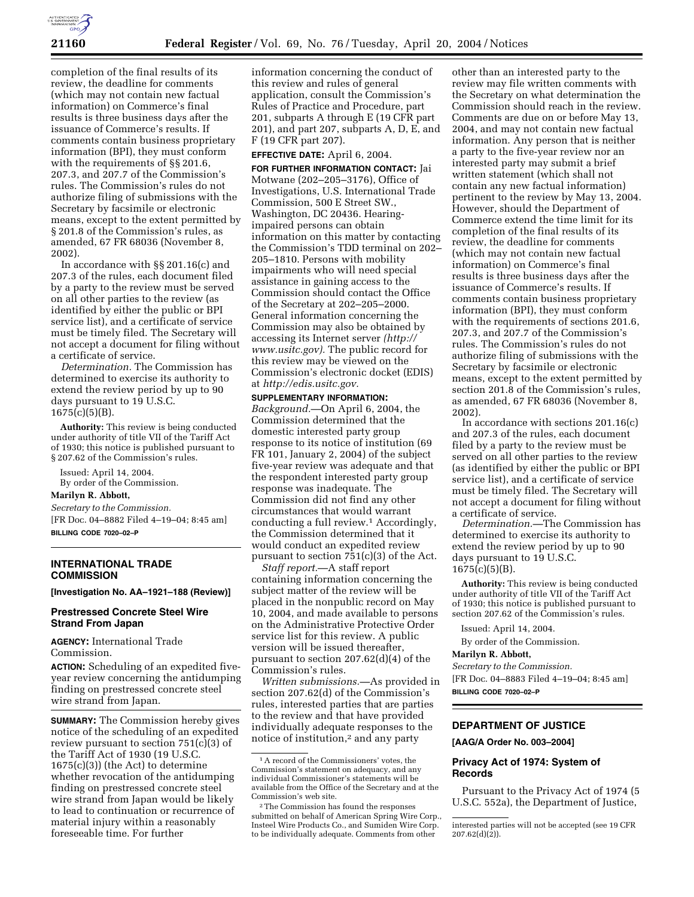

completion of the final results of its review, the deadline for comments (which may not contain new factual information) on Commerce's final results is three business days after the issuance of Commerce's results. If comments contain business proprietary information (BPI), they must conform with the requirements of §§ 201.6, 207.3, and 207.7 of the Commission's rules. The Commission's rules do not authorize filing of submissions with the Secretary by facsimile or electronic means, except to the extent permitted by § 201.8 of the Commission's rules, as amended, 67 FR 68036 (November 8, 2002).

In accordance with §§ 201.16(c) and 207.3 of the rules, each document filed by a party to the review must be served on all other parties to the review (as identified by either the public or BPI service list), and a certificate of service must be timely filed. The Secretary will not accept a document for filing without a certificate of service.

*Determination.* The Commission has determined to exercise its authority to extend the review period by up to 90 days pursuant to 19 U.S.C.  $1675(c)(5)(B)$ .

**Authority:** This review is being conducted under authority of title VII of the Tariff Act of 1930; this notice is published pursuant to § 207.62 of the Commission's rules.

Issued: April 14, 2004. By order of the Commission.

#### **Marilyn R. Abbott,**

*Secretary to the Commission.* 

[FR Doc. 04–8882 Filed 4–19–04; 8:45 am] **BILLING CODE 7020–02–P** 

# **INTERNATIONAL TRADE COMMISSION**

**[Investigation No. AA–1921–188 (Review)]** 

## **Prestressed Concrete Steel Wire Strand From Japan**

**AGENCY:** International Trade Commission.

**ACTION:** Scheduling of an expedited fiveyear review concerning the antidumping finding on prestressed concrete steel wire strand from Japan.

**SUMMARY:** The Commission hereby gives notice of the scheduling of an expedited review pursuant to section 751(c)(3) of the Tariff Act of 1930 (19 U.S.C. 1675(c)(3)) (the Act) to determine whether revocation of the antidumping finding on prestressed concrete steel wire strand from Japan would be likely to lead to continuation or recurrence of material injury within a reasonably foreseeable time. For further

information concerning the conduct of this review and rules of general application, consult the Commission's Rules of Practice and Procedure, part 201, subparts A through E (19 CFR part 201), and part 207, subparts A, D, E, and F (19 CFR part 207).

## **EFFECTIVE DATE:** April 6, 2004.

**FOR FURTHER INFORMATION CONTACT:** Jai Motwane (202–205–3176), Office of Investigations, U.S. International Trade Commission, 500 E Street SW., Washington, DC 20436. Hearingimpaired persons can obtain information on this matter by contacting the Commission's TDD terminal on 202– 205–1810. Persons with mobility impairments who will need special assistance in gaining access to the Commission should contact the Office of the Secretary at 202–205–2000. General information concerning the Commission may also be obtained by accessing its Internet server *(http:// www.usitc.gov).* The public record for this review may be viewed on the Commission's electronic docket (EDIS) at *http://edis.usitc.gov.* 

## **SUPPLEMENTARY INFORMATION:**

*Background.*—On April 6, 2004, the Commission determined that the domestic interested party group response to its notice of institution (69 FR 101, January 2, 2004) of the subject five-year review was adequate and that the respondent interested party group response was inadequate. The Commission did not find any other circumstances that would warrant conducting a full review.1 Accordingly, the Commission determined that it would conduct an expedited review pursuant to section 751(c)(3) of the Act.

*Staff report.*—A staff report containing information concerning the subject matter of the review will be placed in the nonpublic record on May 10, 2004, and made available to persons on the Administrative Protective Order service list for this review. A public version will be issued thereafter, pursuant to section 207.62(d)(4) of the Commission's rules.

*Written submissions.—*As provided in section 207.62(d) of the Commission's rules, interested parties that are parties to the review and that have provided individually adequate responses to the notice of institution,<sup>2</sup> and any party

other than an interested party to the review may file written comments with the Secretary on what determination the Commission should reach in the review. Comments are due on or before May 13, 2004, and may not contain new factual information. Any person that is neither a party to the five-year review nor an interested party may submit a brief written statement (which shall not contain any new factual information) pertinent to the review by May 13, 2004. However, should the Department of Commerce extend the time limit for its completion of the final results of its review, the deadline for comments (which may not contain new factual information) on Commerce's final results is three business days after the issuance of Commerce's results. If comments contain business proprietary information (BPI), they must conform with the requirements of sections 201.6, 207.3, and 207.7 of the Commission's rules. The Commission's rules do not authorize filing of submissions with the Secretary by facsimile or electronic means, except to the extent permitted by section 201.8 of the Commission's rules, as amended, 67 FR 68036 (November 8, 2002).

In accordance with sections 201.16(c) and 207.3 of the rules, each document filed by a party to the review must be served on all other parties to the review (as identified by either the public or BPI service list), and a certificate of service must be timely filed. The Secretary will not accept a document for filing without a certificate of service.

*Determination.—*The Commission has determined to exercise its authority to extend the review period by up to 90 days pursuant to 19 U.S.C.  $1675(c)(5)(B)$ .

**Authority:** This review is being conducted under authority of title VII of the Tariff Act of 1930; this notice is published pursuant to section 207.62 of the Commission's rules.

Issued: April 14, 2004.

By order of the Commission.

## **Marilyn R. Abbott,**

*Secretary to the Commission.* 

[FR Doc. 04–8883 Filed 4–19–04; 8:45 am] **BILLING CODE 7020–02–P** 

# **DEPARTMENT OF JUSTICE**

# **[AAG/A Order No. 003–2004]**

## **Privacy Act of 1974: System of Records**

Pursuant to the Privacy Act of 1974 (5 U.S.C. 552a), the Department of Justice,

<sup>1</sup>A record of the Commissioners' votes, the Commission's statement on adequacy, and any individual Commissioner's statements will be available from the Office of the Secretary and at the Commission's web site.

<sup>2</sup>The Commission has found the responses submitted on behalf of American Spring Wire Corp., Insteel Wire Products Co., and Sumiden Wire Corp. to be individually adequate. Comments from other

interested parties will not be accepted (see 19 CFR  $207.62(d)(2)$ ).